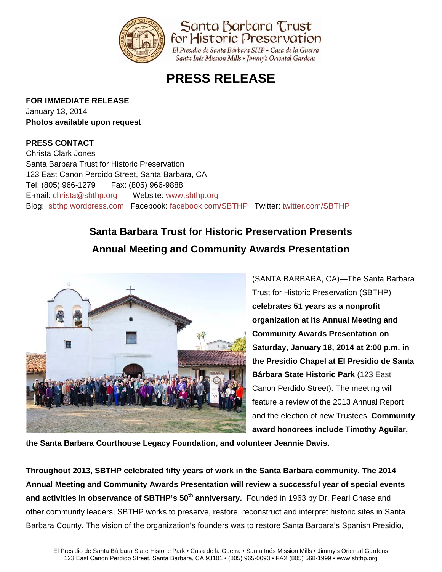

**PRESS RELEASE**

### **FOR IMMEDIATE RELEASE**

January 13, 2014 **Photos available upon request** 

## **PRESS CONTACT**

Christa Clark Jones Santa Barbara Trust for Historic Preservation 123 East Canon Perdido Street, Santa Barbara, CA Tel: (805) 966-1279 Fax: (805) 966-9888 E-mail: christa@sbthp.org Website: www.sbthp.org Blog: sbthp.wordpress.com Facebook: facebook.com/SBTHP Twitter: twitter.com/SBTHP

# **Santa Barbara Trust for Historic Preservation Presents Annual Meeting and Community Awards Presentation**



(SANTA BARBARA, CA)—The Santa Barbara Trust for Historic Preservation (SBTHP) **celebrates 51 years as a nonprofit organization at its Annual Meeting and Community Awards Presentation on Saturday, January 18, 2014 at 2:00 p.m. in the Presidio Chapel at El Presidio de Santa Bárbara State Historic Park** (123 East Canon Perdido Street). The meeting will feature a review of the 2013 Annual Report and the election of new Trustees. **Community award honorees include Timothy Aguilar,** 

**the Santa Barbara Courthouse Legacy Foundation, and volunteer Jeannie Davis.** 

**Throughout 2013, SBTHP celebrated fifty years of work in the Santa Barbara community. The 2014 Annual Meeting and Community Awards Presentation will review a successful year of special events**  and activities in observance of SBTHP's 50<sup>th</sup> anniversary. Founded in 1963 by Dr. Pearl Chase and other community leaders, SBTHP works to preserve, restore, reconstruct and interpret historic sites in Santa Barbara County. The vision of the organization's founders was to restore Santa Barbara's Spanish Presidio,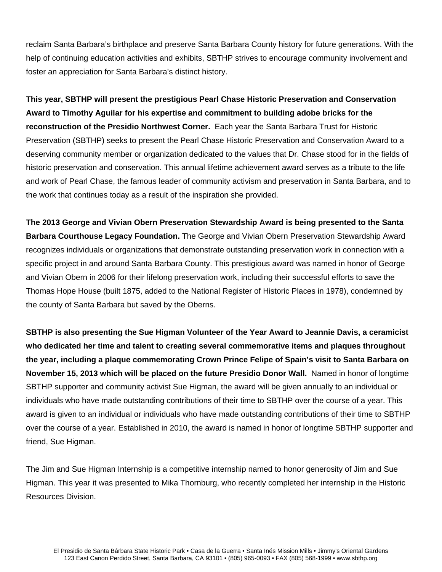reclaim Santa Barbara's birthplace and preserve Santa Barbara County history for future generations. With the help of continuing education activities and exhibits, SBTHP strives to encourage community involvement and foster an appreciation for Santa Barbara's distinct history.

**This year, SBTHP will present the prestigious Pearl Chase Historic Preservation and Conservation Award to Timothy Aguilar for his expertise and commitment to building adobe bricks for the reconstruction of the Presidio Northwest Corner.** Each year the Santa Barbara Trust for Historic Preservation (SBTHP) seeks to present the Pearl Chase Historic Preservation and Conservation Award to a deserving community member or organization dedicated to the values that Dr. Chase stood for in the fields of historic preservation and conservation. This annual lifetime achievement award serves as a tribute to the life and work of Pearl Chase, the famous leader of community activism and preservation in Santa Barbara, and to the work that continues today as a result of the inspiration she provided.

**The 2013 George and Vivian Obern Preservation Stewardship Award is being presented to the Santa Barbara Courthouse Legacy Foundation.** The George and Vivian Obern Preservation Stewardship Award recognizes individuals or organizations that demonstrate outstanding preservation work in connection with a specific project in and around Santa Barbara County. This prestigious award was named in honor of George and Vivian Obern in 2006 for their lifelong preservation work, including their successful efforts to save the Thomas Hope House (built 1875, added to the National Register of Historic Places in 1978), condemned by the county of Santa Barbara but saved by the Oberns.

**SBTHP is also presenting the Sue Higman Volunteer of the Year Award to Jeannie Davis, a ceramicist who dedicated her time and talent to creating several commemorative items and plaques throughout the year, including a plaque commemorating Crown Prince Felipe of Spain's visit to Santa Barbara on November 15, 2013 which will be placed on the future Presidio Donor Wall.** Named in honor of longtime SBTHP supporter and community activist Sue Higman, the award will be given annually to an individual or individuals who have made outstanding contributions of their time to SBTHP over the course of a year. This award is given to an individual or individuals who have made outstanding contributions of their time to SBTHP over the course of a year. Established in 2010, the award is named in honor of longtime SBTHP supporter and friend, Sue Higman.

The Jim and Sue Higman Internship is a competitive internship named to honor generosity of Jim and Sue Higman. This year it was presented to Mika Thornburg, who recently completed her internship in the Historic Resources Division.